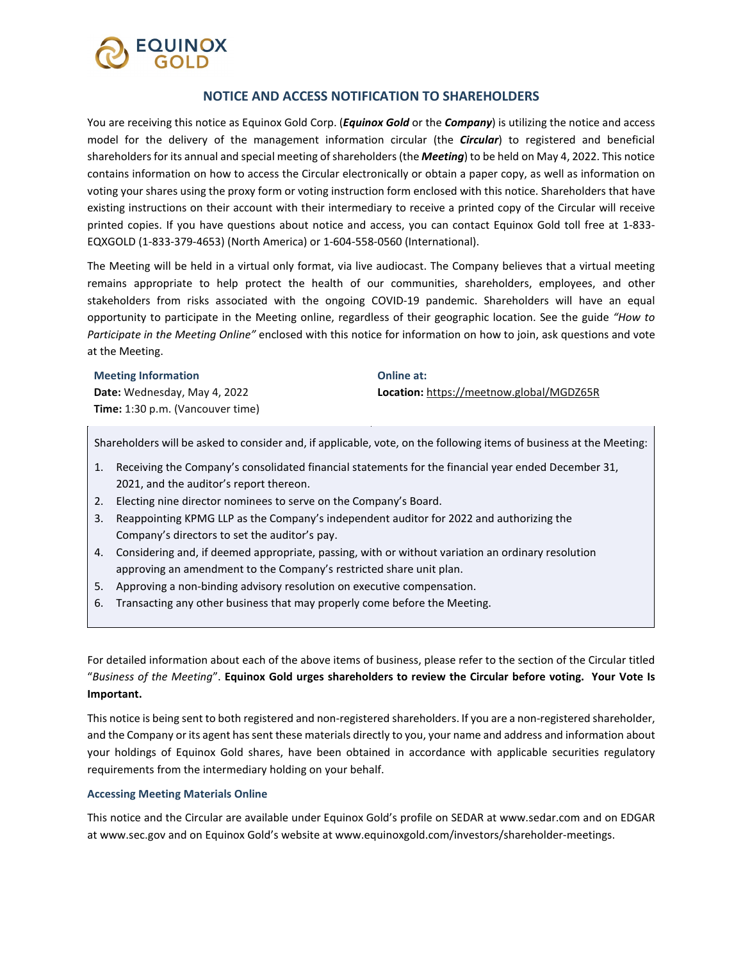

## **NOTICE AND ACCESS NOTIFICATION TO SHAREHOLDERS**

You are receiving this notice as Equinox Gold Corp. (*Equinox Gold* or the *Company*) is utilizing the notice and access model for the delivery of the management information circular (the *Circular*) to registered and beneficial shareholders for its annual and special meeting of shareholders (the *Meeting*) to be held on May 4, 2022. This notice contains information on how to access the Circular electronically or obtain a paper copy, as well as information on voting your shares using the proxy form or voting instruction form enclosed with this notice. Shareholders that have existing instructions on their account with their intermediary to receive a printed copy of the Circular will receive printed copies. If you have questions about notice and access, you can contact Equinox Gold toll free at 1-833- EQXGOLD (1-833-379-4653) (North America) or 1-604-558-0560 (International).

The Meeting will be held in a virtual only format, via live audiocast. The Company believes that a virtual meeting remains appropriate to help protect the health of our communities, shareholders, employees, and other stakeholders from risks associated with the ongoing COVID-19 pandemic. Shareholders will have an equal opportunity to participate in the Meeting online, regardless of their geographic location. See the guide *"How to Participate in the Meeting Online"* enclosed with this notice for information on how to join, ask questions and vote at the Meeting.

#### **Meeting Information**

**Date:** Wednesday, May 4, 2022 **Time:** 1:30 p.m. (Vancouver time) **Online at: Location:** <https://meetnow.global/MGDZ65R>

Shareholders will be asked to consider and, if applicable, vote, on the following items of business at the Meeting:

- 1. Receiving the Company's consolidated financial statements for the financial year ended December 31, 2021, and the auditor's report thereon.
- 2. Electing nine director nominees to serve on the Company's Board.
- 3. Reappointing KPMG LLP as the Company's independent auditor for 2022 and authorizing the Company's directors to set the auditor's pay.
- 4. Considering and, if deemed appropriate, passing, with or without variation an ordinary resolution approving an amendment to the Company's restricted share unit plan.
- 5. Approving a non-binding advisory resolution on executive compensation.
- 6. Transacting any other business that may properly come before the Meeting.

For detailed information about each of the above items of business, please refer to the section of the Circular titled "*Business of the Meeting*". **Equinox Gold urges shareholders to review the Circular before voting. Your Vote Is Important.**

This notice is being sent to both registered and non-registered shareholders. If you are a non-registered shareholder, and the Company or its agent has sent these materials directly to you, your name and address and information about your holdings of Equinox Gold shares, have been obtained in accordance with applicable securities regulatory requirements from the intermediary holding on your behalf.

### **Accessing Meeting Materials Online**

This notice and the Circular are available under Equinox Gold's profile on SEDAR at [www.sedar.com](http://www.sedar.com/) and on EDGAR a[t www.sec.gov](http://www.sec.gov/) and on Equinox Gold's website a[t www.equinoxgold.com/investors/shareholder-meetings.](http://www.equinoxgold.com/investors/shareholder-meetings)